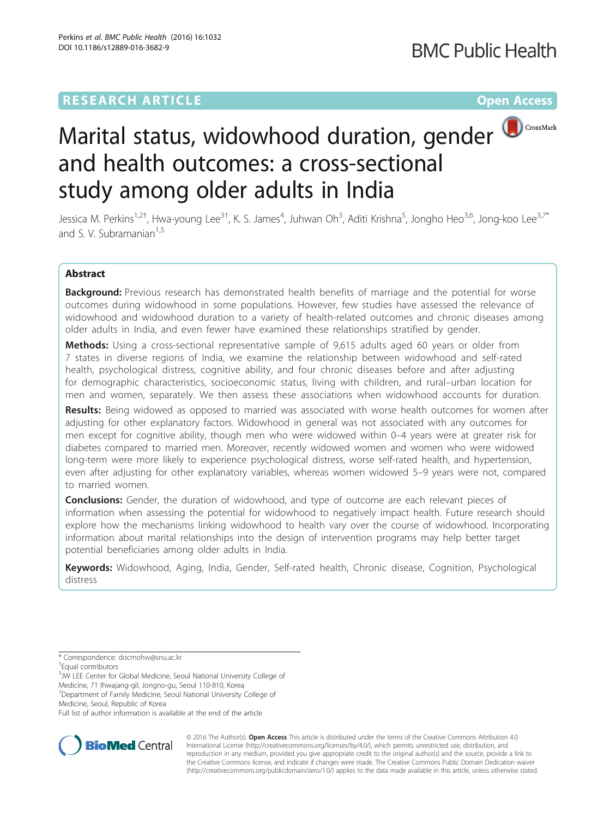# **RESEARCH ARTICLE Example 2018 12:00 Department of the Contract Open Access**



# Marital status, widowhood duration, gender and health outcomes: a cross-sectional study among older adults in India

Jessica M. Perkins<sup>1,2†</sup>, Hwa-young Lee<sup>3†</sup>, K. S. James<sup>4</sup>, Juhwan Oh<sup>3</sup>, Aditi Krishna<sup>5</sup>, Jongho Heo<sup>3,6</sup>, Jong-koo Lee<sup>3,7\*</sup> and S. V. Subramanian<sup>1,5</sup>

# Abstract

Background: Previous research has demonstrated health benefits of marriage and the potential for worse outcomes during widowhood in some populations. However, few studies have assessed the relevance of widowhood and widowhood duration to a variety of health-related outcomes and chronic diseases among older adults in India, and even fewer have examined these relationships stratified by gender.

Methods: Using a cross-sectional representative sample of 9,615 adults aged 60 years or older from 7 states in diverse regions of India, we examine the relationship between widowhood and self-rated health, psychological distress, cognitive ability, and four chronic diseases before and after adjusting for demographic characteristics, socioeconomic status, living with children, and rural–urban location for men and women, separately. We then assess these associations when widowhood accounts for duration.

Results: Being widowed as opposed to married was associated with worse health outcomes for women after adjusting for other explanatory factors. Widowhood in general was not associated with any outcomes for men except for cognitive ability, though men who were widowed within 0–4 years were at greater risk for diabetes compared to married men. Moreover, recently widowed women and women who were widowed long-term were more likely to experience psychological distress, worse self-rated health, and hypertension, even after adjusting for other explanatory variables, whereas women widowed 5–9 years were not, compared to married women.

**Conclusions:** Gender, the duration of widowhood, and type of outcome are each relevant pieces of information when assessing the potential for widowhood to negatively impact health. Future research should explore how the mechanisms linking widowhood to health vary over the course of widowhood. Incorporating information about marital relationships into the design of intervention programs may help better target potential beneficiaries among older adults in India.

Keywords: Widowhood, Aging, India, Gender, Self-rated health, Chronic disease, Cognition, Psychological distress

Medicine, 71 Ihwajang-gil, Jongno-gu, Seoul 110-810, Korea

Medicine, Seoul, Republic of Korea

Full list of author information is available at the end of the article



© 2016 The Author(s). Open Access This article is distributed under the terms of the Creative Commons Attribution 4.0 International License [\(http://creativecommons.org/licenses/by/4.0/](http://creativecommons.org/licenses/by/4.0/)), which permits unrestricted use, distribution, and reproduction in any medium, provided you give appropriate credit to the original author(s) and the source, provide a link to the Creative Commons license, and indicate if changes were made. The Creative Commons Public Domain Dedication waiver [\(http://creativecommons.org/publicdomain/zero/1.0/](http://creativecommons.org/publicdomain/zero/1.0/)) applies to the data made available in this article, unless otherwise stated.

<sup>\*</sup> Correspondence: [docmohw@snu.ac.kr](mailto:docmohw@snu.ac.kr) †

Equal contributors

<sup>&</sup>lt;sup>3</sup>JW LEE Center for Global Medicine, Seoul National University College of

<sup>7</sup> Department of Family Medicine, Seoul National University College of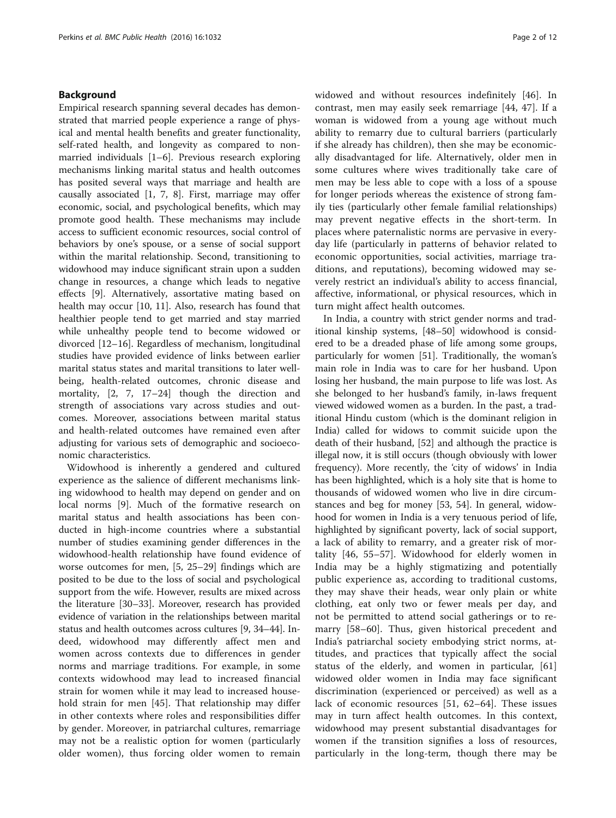# Background

Empirical research spanning several decades has demonstrated that married people experience a range of physical and mental health benefits and greater functionality, self-rated health, and longevity as compared to nonmarried individuals [\[1](#page-10-0)–[6](#page-10-0)]. Previous research exploring mechanisms linking marital status and health outcomes has posited several ways that marriage and health are causally associated [\[1](#page-10-0), [7](#page-10-0), [8](#page-10-0)]. First, marriage may offer economic, social, and psychological benefits, which may promote good health. These mechanisms may include access to sufficient economic resources, social control of behaviors by one's spouse, or a sense of social support within the marital relationship. Second, transitioning to widowhood may induce significant strain upon a sudden change in resources, a change which leads to negative effects [[9\]](#page-10-0). Alternatively, assortative mating based on health may occur [\[10, 11](#page-10-0)]. Also, research has found that healthier people tend to get married and stay married while unhealthy people tend to become widowed or divorced [\[12](#page-10-0)–[16\]](#page-10-0). Regardless of mechanism, longitudinal studies have provided evidence of links between earlier marital status states and marital transitions to later wellbeing, health-related outcomes, chronic disease and mortality, [\[2, 7, 17](#page-10-0)–[24](#page-10-0)] though the direction and strength of associations vary across studies and outcomes. Moreover, associations between marital status and health-related outcomes have remained even after adjusting for various sets of demographic and socioeconomic characteristics.

Widowhood is inherently a gendered and cultured experience as the salience of different mechanisms linking widowhood to health may depend on gender and on local norms [[9\]](#page-10-0). Much of the formative research on marital status and health associations has been conducted in high-income countries where a substantial number of studies examining gender differences in the widowhood-health relationship have found evidence of worse outcomes for men, [\[5](#page-10-0), [25](#page-10-0)–[29\]](#page-10-0) findings which are posited to be due to the loss of social and psychological support from the wife. However, results are mixed across the literature [\[30](#page-10-0)–[33\]](#page-10-0). Moreover, research has provided evidence of variation in the relationships between marital status and health outcomes across cultures [\[9](#page-10-0), [34](#page-11-0)–[44](#page-11-0)]. Indeed, widowhood may differently affect men and women across contexts due to differences in gender norms and marriage traditions. For example, in some contexts widowhood may lead to increased financial strain for women while it may lead to increased household strain for men [[45\]](#page-11-0). That relationship may differ in other contexts where roles and responsibilities differ by gender. Moreover, in patriarchal cultures, remarriage may not be a realistic option for women (particularly older women), thus forcing older women to remain

widowed and without resources indefinitely [\[46](#page-11-0)]. In contrast, men may easily seek remarriage [[44, 47\]](#page-11-0). If a woman is widowed from a young age without much ability to remarry due to cultural barriers (particularly if she already has children), then she may be economically disadvantaged for life. Alternatively, older men in some cultures where wives traditionally take care of men may be less able to cope with a loss of a spouse for longer periods whereas the existence of strong family ties (particularly other female familial relationships) may prevent negative effects in the short-term. In places where paternalistic norms are pervasive in everyday life (particularly in patterns of behavior related to economic opportunities, social activities, marriage traditions, and reputations), becoming widowed may severely restrict an individual's ability to access financial, affective, informational, or physical resources, which in turn might affect health outcomes.

In India, a country with strict gender norms and traditional kinship systems, [[48](#page-11-0)–[50](#page-11-0)] widowhood is considered to be a dreaded phase of life among some groups, particularly for women [\[51](#page-11-0)]. Traditionally, the woman's main role in India was to care for her husband. Upon losing her husband, the main purpose to life was lost. As she belonged to her husband's family, in-laws frequent viewed widowed women as a burden. In the past, a traditional Hindu custom (which is the dominant religion in India) called for widows to commit suicide upon the death of their husband, [\[52\]](#page-11-0) and although the practice is illegal now, it is still occurs (though obviously with lower frequency). More recently, the 'city of widows' in India has been highlighted, which is a holy site that is home to thousands of widowed women who live in dire circumstances and beg for money [\[53](#page-11-0), [54\]](#page-11-0). In general, widowhood for women in India is a very tenuous period of life, highlighted by significant poverty, lack of social support, a lack of ability to remarry, and a greater risk of mortality [[46](#page-11-0), [55](#page-11-0)–[57](#page-11-0)]. Widowhood for elderly women in India may be a highly stigmatizing and potentially public experience as, according to traditional customs, they may shave their heads, wear only plain or white clothing, eat only two or fewer meals per day, and not be permitted to attend social gatherings or to remarry [\[58](#page-11-0)–[60](#page-11-0)]. Thus, given historical precedent and India's patriarchal society embodying strict norms, attitudes, and practices that typically affect the social status of the elderly, and women in particular, [\[61](#page-11-0)] widowed older women in India may face significant discrimination (experienced or perceived) as well as a lack of economic resources [[51, 62](#page-11-0)–[64\]](#page-11-0). These issues may in turn affect health outcomes. In this context, widowhood may present substantial disadvantages for women if the transition signifies a loss of resources, particularly in the long-term, though there may be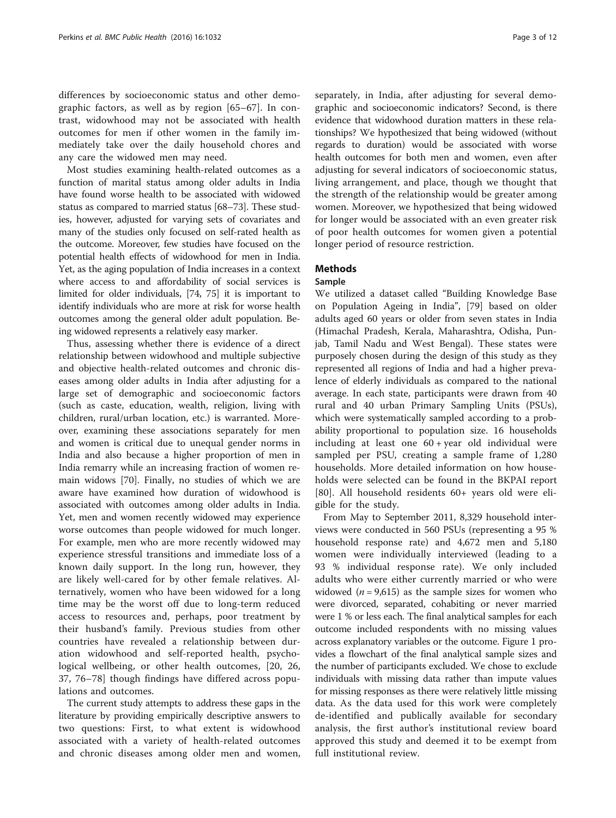differences by socioeconomic status and other demographic factors, as well as by region [\[65](#page-11-0)–[67](#page-11-0)]. In contrast, widowhood may not be associated with health outcomes for men if other women in the family immediately take over the daily household chores and any care the widowed men may need.

Most studies examining health-related outcomes as a function of marital status among older adults in India have found worse health to be associated with widowed status as compared to married status [\[68](#page-11-0)–[73](#page-11-0)]. These studies, however, adjusted for varying sets of covariates and many of the studies only focused on self-rated health as the outcome. Moreover, few studies have focused on the potential health effects of widowhood for men in India. Yet, as the aging population of India increases in a context where access to and affordability of social services is limited for older individuals, [\[74, 75](#page-11-0)] it is important to identify individuals who are more at risk for worse health outcomes among the general older adult population. Being widowed represents a relatively easy marker.

Thus, assessing whether there is evidence of a direct relationship between widowhood and multiple subjective and objective health-related outcomes and chronic diseases among older adults in India after adjusting for a large set of demographic and socioeconomic factors (such as caste, education, wealth, religion, living with children, rural/urban location, etc.) is warranted. Moreover, examining these associations separately for men and women is critical due to unequal gender norms in India and also because a higher proportion of men in India remarry while an increasing fraction of women remain widows [[70\]](#page-11-0). Finally, no studies of which we are aware have examined how duration of widowhood is associated with outcomes among older adults in India. Yet, men and women recently widowed may experience worse outcomes than people widowed for much longer. For example, men who are more recently widowed may experience stressful transitions and immediate loss of a known daily support. In the long run, however, they are likely well-cared for by other female relatives. Alternatively, women who have been widowed for a long time may be the worst off due to long-term reduced access to resources and, perhaps, poor treatment by their husband's family. Previous studies from other countries have revealed a relationship between duration widowhood and self-reported health, psychological wellbeing, or other health outcomes, [[20, 26](#page-10-0), [37, 76](#page-11-0)–[78](#page-11-0)] though findings have differed across populations and outcomes.

The current study attempts to address these gaps in the literature by providing empirically descriptive answers to two questions: First, to what extent is widowhood associated with a variety of health-related outcomes and chronic diseases among older men and women,

separately, in India, after adjusting for several demographic and socioeconomic indicators? Second, is there evidence that widowhood duration matters in these relationships? We hypothesized that being widowed (without regards to duration) would be associated with worse health outcomes for both men and women, even after adjusting for several indicators of socioeconomic status, living arrangement, and place, though we thought that the strength of the relationship would be greater among women. Moreover, we hypothesized that being widowed for longer would be associated with an even greater risk of poor health outcomes for women given a potential longer period of resource restriction.

# **Methods**

# Sample

We utilized a dataset called "Building Knowledge Base on Population Ageing in India", [\[79](#page-11-0)] based on older adults aged 60 years or older from seven states in India (Himachal Pradesh, Kerala, Maharashtra, Odisha, Punjab, Tamil Nadu and West Bengal). These states were purposely chosen during the design of this study as they represented all regions of India and had a higher prevalence of elderly individuals as compared to the national average. In each state, participants were drawn from 40 rural and 40 urban Primary Sampling Units (PSUs), which were systematically sampled according to a probability proportional to population size. 16 households including at least one  $60 + year$  old individual were sampled per PSU, creating a sample frame of 1,280 households. More detailed information on how households were selected can be found in the BKPAI report [[80\]](#page-11-0). All household residents 60+ years old were eligible for the study.

From May to September 2011, 8,329 household interviews were conducted in 560 PSUs (representing a 95 % household response rate) and 4,672 men and 5,180 women were individually interviewed (leading to a 93 % individual response rate). We only included adults who were either currently married or who were widowed ( $n = 9,615$ ) as the sample sizes for women who were divorced, separated, cohabiting or never married were 1 % or less each. The final analytical samples for each outcome included respondents with no missing values across explanatory variables or the outcome. Figure [1](#page-3-0) provides a flowchart of the final analytical sample sizes and the number of participants excluded. We chose to exclude individuals with missing data rather than impute values for missing responses as there were relatively little missing data. As the data used for this work were completely de-identified and publically available for secondary analysis, the first author's institutional review board approved this study and deemed it to be exempt from full institutional review.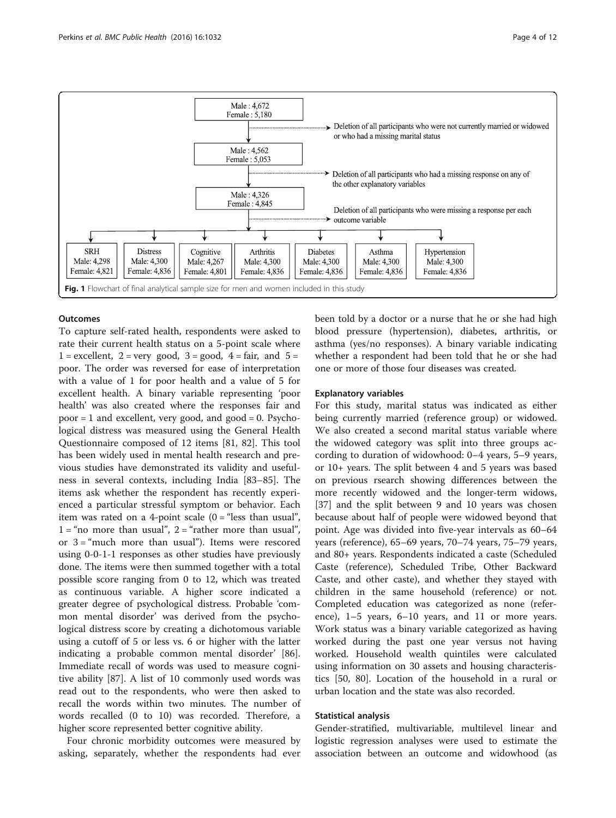<span id="page-3-0"></span>

# **Outcomes**

To capture self-rated health, respondents were asked to rate their current health status on a 5-point scale where  $1 =$  excellent,  $2 =$  very good,  $3 =$  good,  $4 =$  fair, and  $5 =$ poor. The order was reversed for ease of interpretation with a value of 1 for poor health and a value of 5 for excellent health. A binary variable representing 'poor health' was also created where the responses fair and  $poor = 1$  and excellent, very good, and good = 0. Psychological distress was measured using the General Health Questionnaire composed of 12 items [\[81, 82\]](#page-11-0). This tool has been widely used in mental health research and previous studies have demonstrated its validity and usefulness in several contexts, including India [[83](#page-11-0)–[85](#page-11-0)]. The items ask whether the respondent has recently experienced a particular stressful symptom or behavior. Each item was rated on a 4-point scale  $(0 = "less than usual",$  $1 =$ "no more than usual",  $2 =$ "rather more than usual", or 3 = "much more than usual"). Items were rescored using 0-0-1-1 responses as other studies have previously done. The items were then summed together with a total possible score ranging from 0 to 12, which was treated as continuous variable. A higher score indicated a greater degree of psychological distress. Probable 'common mental disorder' was derived from the psychological distress score by creating a dichotomous variable using a cutoff of 5 or less vs. 6 or higher with the latter indicating a probable common mental disorder' [\[86](#page-11-0)]. Immediate recall of words was used to measure cognitive ability [[87\]](#page-11-0). A list of 10 commonly used words was read out to the respondents, who were then asked to recall the words within two minutes. The number of words recalled (0 to 10) was recorded. Therefore, a higher score represented better cognitive ability.

Four chronic morbidity outcomes were measured by asking, separately, whether the respondents had ever been told by a doctor or a nurse that he or she had high blood pressure (hypertension), diabetes, arthritis, or asthma (yes/no responses). A binary variable indicating whether a respondent had been told that he or she had one or more of those four diseases was created.

### Explanatory variables

For this study, marital status was indicated as either being currently married (reference group) or widowed. We also created a second marital status variable where the widowed category was split into three groups according to duration of widowhood: 0–4 years, 5–9 years, or 10+ years. The split between 4 and 5 years was based on previous rsearch showing differences between the more recently widowed and the longer-term widows, [[37\]](#page-11-0) and the split between 9 and 10 years was chosen because about half of people were widowed beyond that point. Age was divided into five-year intervals as 60–64 years (reference), 65–69 years, 70–74 years, 75–79 years, and 80+ years. Respondents indicated a caste (Scheduled Caste (reference), Scheduled Tribe, Other Backward Caste, and other caste), and whether they stayed with children in the same household (reference) or not. Completed education was categorized as none (reference), 1–5 years, 6–10 years, and 11 or more years. Work status was a binary variable categorized as having worked during the past one year versus not having worked. Household wealth quintiles were calculated using information on 30 assets and housing characteristics [[50, 80\]](#page-11-0). Location of the household in a rural or urban location and the state was also recorded.

# Statistical analysis

Gender-stratified, multivariable, multilevel linear and logistic regression analyses were used to estimate the association between an outcome and widowhood (as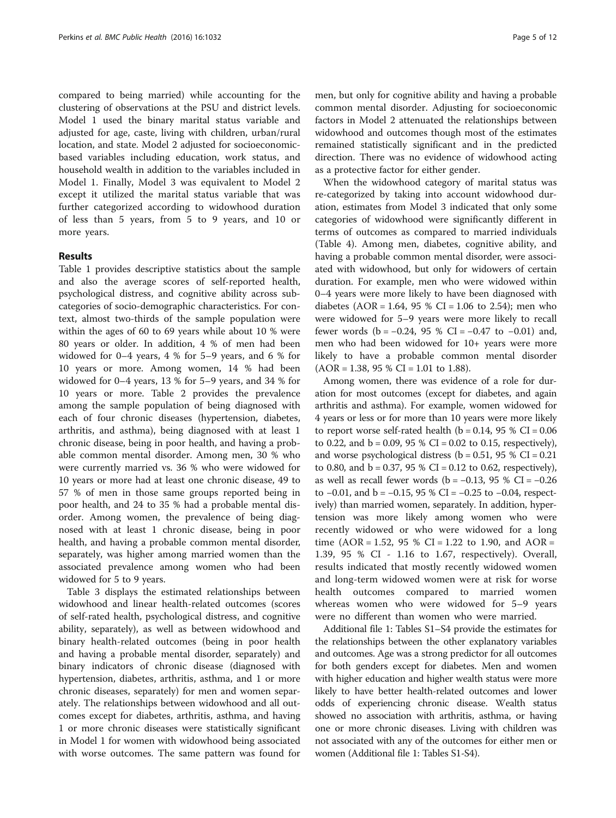compared to being married) while accounting for the clustering of observations at the PSU and district levels. Model 1 used the binary marital status variable and adjusted for age, caste, living with children, urban/rural location, and state. Model 2 adjusted for socioeconomicbased variables including education, work status, and household wealth in addition to the variables included in Model 1. Finally, Model 3 was equivalent to Model 2 except it utilized the marital status variable that was further categorized according to widowhood duration of less than 5 years, from 5 to 9 years, and 10 or more years.

# Results

Table [1](#page-5-0) provides descriptive statistics about the sample and also the average scores of self-reported health, psychological distress, and cognitive ability across subcategories of socio-demographic characteristics. For context, almost two-thirds of the sample population were within the ages of 60 to 69 years while about 10 % were 80 years or older. In addition, 4 % of men had been widowed for 0–4 years, 4 % for 5–9 years, and 6 % for 10 years or more. Among women, 14 % had been widowed for 0–4 years, 13 % for 5–9 years, and 34 % for 10 years or more. Table [2](#page-7-0) provides the prevalence among the sample population of being diagnosed with each of four chronic diseases (hypertension, diabetes, arthritis, and asthma), being diagnosed with at least 1 chronic disease, being in poor health, and having a probable common mental disorder. Among men, 30 % who were currently married vs. 36 % who were widowed for 10 years or more had at least one chronic disease, 49 to 57 % of men in those same groups reported being in poor health, and 24 to 35 % had a probable mental disorder. Among women, the prevalence of being diagnosed with at least 1 chronic disease, being in poor health, and having a probable common mental disorder, separately, was higher among married women than the associated prevalence among women who had been widowed for 5 to 9 years.

Table [3](#page-8-0) displays the estimated relationships between widowhood and linear health-related outcomes (scores of self-rated health, psychological distress, and cognitive ability, separately), as well as between widowhood and binary health-related outcomes (being in poor health and having a probable mental disorder, separately) and binary indicators of chronic disease (diagnosed with hypertension, diabetes, arthritis, asthma, and 1 or more chronic diseases, separately) for men and women separately. The relationships between widowhood and all outcomes except for diabetes, arthritis, asthma, and having 1 or more chronic diseases were statistically significant in Model 1 for women with widowhood being associated with worse outcomes. The same pattern was found for

men, but only for cognitive ability and having a probable common mental disorder. Adjusting for socioeconomic factors in Model 2 attenuated the relationships between widowhood and outcomes though most of the estimates remained statistically significant and in the predicted direction. There was no evidence of widowhood acting as a protective factor for either gender.

When the widowhood category of marital status was re-categorized by taking into account widowhood duration, estimates from Model 3 indicated that only some categories of widowhood were significantly different in terms of outcomes as compared to married individuals (Table [4\)](#page-9-0). Among men, diabetes, cognitive ability, and having a probable common mental disorder, were associated with widowhood, but only for widowers of certain duration. For example, men who were widowed within 0–4 years were more likely to have been diagnosed with diabetes (AOR = 1.64, 95 % CI = 1.06 to 2.54); men who were widowed for 5–9 years were more likely to recall fewer words ( $b = -0.24$ , 95 % CI =  $-0.47$  to  $-0.01$ ) and, men who had been widowed for 10+ years were more likely to have a probable common mental disorder  $(AOR = 1.38, 95 % CI = 1.01 to 1.88).$ 

Among women, there was evidence of a role for duration for most outcomes (except for diabetes, and again arthritis and asthma). For example, women widowed for 4 years or less or for more than 10 years were more likely to report worse self-rated health ( $b = 0.14$ , 95 % CI = 0.06 to 0.22, and  $b = 0.09$ , 95 % CI = 0.02 to 0.15, respectively), and worse psychological distress ( $b = 0.51$ , 95 % CI = 0.21 to 0.80, and  $b = 0.37$ , 95 % CI = 0.12 to 0.62, respectively), as well as recall fewer words ( $b = -0.13$ , 95 % CI =  $-0.26$ to  $-0.01$ , and  $b = -0.15$ , 95 % CI =  $-0.25$  to  $-0.04$ , respectively) than married women, separately. In addition, hypertension was more likely among women who were recently widowed or who were widowed for a long time (AOR = 1.52, 95 % CI = 1.22 to 1.90, and AOR = 1.39, 95 % CI - 1.16 to 1.67, respectively). Overall, results indicated that mostly recently widowed women and long-term widowed women were at risk for worse health outcomes compared to married women whereas women who were widowed for 5–9 years were no different than women who were married.

Additional file [1](#page-10-0): Tables S1–S4 provide the estimates for the relationships between the other explanatory variables and outcomes. Age was a strong predictor for all outcomes for both genders except for diabetes. Men and women with higher education and higher wealth status were more likely to have better health-related outcomes and lower odds of experiencing chronic disease. Wealth status showed no association with arthritis, asthma, or having one or more chronic diseases. Living with children was not associated with any of the outcomes for either men or women (Additional file [1:](#page-10-0) Tables S1-S4).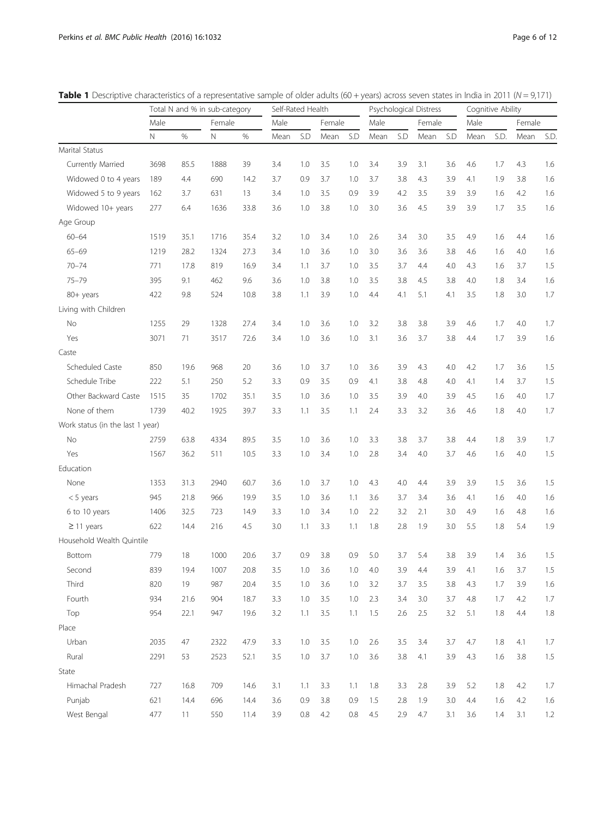|                                  | Total N and % in sub-category |      |        | Self-Rated Health |      |     | Psychological Distress |         |      |     | Cognitive Ability |     |      |      |        |      |
|----------------------------------|-------------------------------|------|--------|-------------------|------|-----|------------------------|---------|------|-----|-------------------|-----|------|------|--------|------|
|                                  | Male                          |      | Female |                   | Male |     | Female                 |         | Male |     | Female            |     | Male |      | Female |      |
|                                  | N                             | $\%$ | Ν      | $\%$              | Mean | S.D | Mean                   | S.D     | Mean | S.D | Mean              | S.D | Mean | S.D. | Mean   | S.D. |
| Marital Status                   |                               |      |        |                   |      |     |                        |         |      |     |                   |     |      |      |        |      |
| Currently Married                | 3698                          | 85.5 | 1888   | 39                | 3.4  | 1.0 | 3.5                    | 1.0     | 3.4  | 3.9 | 3.1               | 3.6 | 4.6  | 1.7  | 4.3    | 1.6  |
| Widowed 0 to 4 years             | 189                           | 4.4  | 690    | 14.2              | 3.7  | 0.9 | 3.7                    | 1.0     | 3.7  | 3.8 | 4.3               | 3.9 | 4.1  | 1.9  | 3.8    | 1.6  |
| Widowed 5 to 9 years             | 162                           | 3.7  | 631    | 13                | 3.4  | 1.0 | 3.5                    | 0.9     | 3.9  | 4.2 | 3.5               | 3.9 | 3.9  | 1.6  | 4.2    | 1.6  |
| Widowed 10+ years                | 277                           | 6.4  | 1636   | 33.8              | 3.6  | 1.0 | 3.8                    | 1.0     | 3.0  | 3.6 | 4.5               | 3.9 | 3.9  | 1.7  | 3.5    | 1.6  |
| Age Group                        |                               |      |        |                   |      |     |                        |         |      |     |                   |     |      |      |        |      |
| $60 - 64$                        | 1519                          | 35.1 | 1716   | 35.4              | 3.2  | 1.0 | 3.4                    | 1.0     | 2.6  | 3.4 | 3.0               | 3.5 | 4.9  | 1.6  | 4.4    | 1.6  |
| $65 - 69$                        | 1219                          | 28.2 | 1324   | 27.3              | 3.4  | 1.0 | 3.6                    | 1.0     | 3.0  | 3.6 | 3.6               | 3.8 | 4.6  | 1.6  | 4.0    | 1.6  |
| $70 - 74$                        | 771                           | 17.8 | 819    | 16.9              | 3.4  | 1.1 | 3.7                    | 1.0     | 3.5  | 3.7 | 4.4               | 4.0 | 4.3  | 1.6  | 3.7    | 1.5  |
| $75 - 79$                        | 395                           | 9.1  | 462    | 9.6               | 3.6  | 1.0 | 3.8                    | 1.0     | 3.5  | 3.8 | 4.5               | 3.8 | 4.0  | 1.8  | 3.4    | 1.6  |
| 80+ years                        | 422                           | 9.8  | 524    | 10.8              | 3.8  | 1.1 | 3.9                    | 1.0     | 4.4  | 4.1 | 5.1               | 4.1 | 3.5  | 1.8  | 3.0    | 1.7  |
| Living with Children             |                               |      |        |                   |      |     |                        |         |      |     |                   |     |      |      |        |      |
| No                               | 1255                          | 29   | 1328   | 27.4              | 3.4  | 1.0 | 3.6                    | 1.0     | 3.2  | 3.8 | 3.8               | 3.9 | 4.6  | 1.7  | 4.0    | 1.7  |
| Yes                              | 3071                          | 71   | 3517   | 72.6              | 3.4  | 1.0 | 3.6                    | 1.0     | 3.1  | 3.6 | 3.7               | 3.8 | 4.4  | 1.7  | 3.9    | 1.6  |
| Caste                            |                               |      |        |                   |      |     |                        |         |      |     |                   |     |      |      |        |      |
| Scheduled Caste                  | 850                           | 19.6 | 968    | 20                | 3.6  | 1.0 | 3.7                    | 1.0     | 3.6  | 3.9 | 4.3               | 4.0 | 4.2  | 1.7  | 3.6    | 1.5  |
| Schedule Tribe                   | 222                           | 5.1  | 250    | 5.2               | 3.3  | 0.9 | 3.5                    | 0.9     | 4.1  | 3.8 | 4.8               | 4.0 | 4.1  | 1.4  | 3.7    | 1.5  |
| Other Backward Caste             | 1515                          | 35   | 1702   | 35.1              | 3.5  | 1.0 | 3.6                    | 1.0     | 3.5  | 3.9 | 4.0               | 3.9 | 4.5  | 1.6  | 4.0    | 1.7  |
| None of them                     | 1739                          | 40.2 | 1925   | 39.7              | 3.3  | 1.1 | 3.5                    | 1.1     | 2.4  | 3.3 | 3.2               | 3.6 | 4.6  | 1.8  | 4.0    | 1.7  |
| Work status (in the last 1 year) |                               |      |        |                   |      |     |                        |         |      |     |                   |     |      |      |        |      |
| No                               | 2759                          | 63.8 | 4334   | 89.5              | 3.5  | 1.0 | 3.6                    | 1.0     | 3.3  | 3.8 | 3.7               | 3.8 | 4.4  | 1.8  | 3.9    | 1.7  |
| Yes                              | 1567                          | 36.2 | 511    | 10.5              | 3.3  | 1.0 | 3.4                    | 1.0     | 2.8  | 3.4 | 4.0               | 3.7 | 4.6  | 1.6  | 4.0    | 1.5  |
| Education                        |                               |      |        |                   |      |     |                        |         |      |     |                   |     |      |      |        |      |
| None                             | 1353                          | 31.3 | 2940   | 60.7              | 3.6  | 1.0 | 3.7                    | 1.0     | 4.3  | 4.0 | 4.4               | 3.9 | 3.9  | 1.5  | 3.6    | 1.5  |
| $< 5$ years                      | 945                           | 21.8 | 966    | 19.9              | 3.5  | 1.0 | 3.6                    | 1.1     | 3.6  | 3.7 | 3.4               | 3.6 | 4.1  | 1.6  | 4.0    | 1.6  |
| 6 to 10 years                    | 1406                          | 32.5 | 723    | 14.9              | 3.3  | 1.0 | 3.4                    | 1.0     | 2.2  | 3.2 | 2.1               | 3.0 | 4.9  | 1.6  | 4.8    | 1.6  |
| $\geq$ 11 years                  | 622                           | 14.4 | 216    | 4.5               | 3.0  | 1.1 | 3.3                    | 1.1     | 1.8  | 2.8 | 1.9               | 3.0 | 5.5  | 1.8  | 5.4    | 1.9  |
| Household Wealth Quintile        |                               |      |        |                   |      |     |                        |         |      |     |                   |     |      |      |        |      |
| Bottom                           | 779                           | 18   | 1000   | 20.6              | 3.7  | 0.9 | 3.8                    | 0.9     | 5.0  | 3.7 | 5.4               | 3.8 | 3.9  | 1.4  | 3.6    | 1.5  |
| Second                           | 839                           | 19.4 | 1007   | 20.8              | 3.5  | 1.0 | 3.6                    | 1.0     | 4.0  | 3.9 | 4.4               | 3.9 | 4.1  | 1.6  | 3.7    | 1.5  |
| Third                            | 820                           | 19   | 987    | 20.4              | 3.5  | 1.0 | 3.6                    | 1.0     | 3.2  | 3.7 | 3.5               | 3.8 | 4.3  | 1.7  | 3.9    | 1.6  |
| Fourth                           | 934                           | 21.6 | 904    | 18.7              | 3.3  | 1.0 | 3.5                    | 1.0     | 2.3  | 3.4 | 3.0               | 3.7 | 4.8  | 1.7  | 4.2    | 1.7  |
| Top                              | 954                           | 22.1 | 947    | 19.6              | 3.2  | 1.1 | 3.5                    | 1.1     | 1.5  | 2.6 | 2.5               | 3.2 | 5.1  | 1.8  | 4.4    | 1.8  |
| Place                            |                               |      |        |                   |      |     |                        |         |      |     |                   |     |      |      |        |      |
| Urban                            | 2035                          | 47   | 2322   | 47.9              | 3.3  | 1.0 | 3.5                    | 1.0     | 2.6  | 3.5 | 3.4               | 3.7 | 4.7  | 1.8  | 4.1    | 1.7  |
| Rural                            | 2291                          | 53   | 2523   | 52.1              | 3.5  | 1.0 | 3.7                    | 1.0     | 3.6  | 3.8 | 4.1               | 3.9 | 4.3  | 1.6  | 3.8    | 1.5  |
| State                            |                               |      |        |                   |      |     |                        |         |      |     |                   |     |      |      |        |      |
| Himachal Pradesh                 | 727                           | 16.8 | 709    | 14.6              | 3.1  | 1.1 | 3.3                    | 1.1     | 1.8  | 3.3 | 2.8               | 3.9 | 5.2  | 1.8  | 4.2    | 1.7  |
| Punjab                           | 621                           | 14.4 | 696    | 14.4              | 3.6  | 0.9 | 3.8                    | 0.9     | 1.5  | 2.8 | 1.9               | 3.0 | 4.4  | 1.6  | 4.2    | 1.6  |
| West Bengal                      | 477                           | 11   | 550    | 11.4              | 3.9  | 0.8 | 4.2                    | $0.8\,$ | 4.5  | 2.9 | 4.7               | 3.1 | 3.6  | 1.4  | 3.1    | 1.2  |

<span id="page-5-0"></span>

| <b>Table 1</b> Descriptive characteristics of a representative sample of older adults (60 + years) across seven states in India in 2011 ( $N = 9,171$ ) |
|---------------------------------------------------------------------------------------------------------------------------------------------------------|
|---------------------------------------------------------------------------------------------------------------------------------------------------------|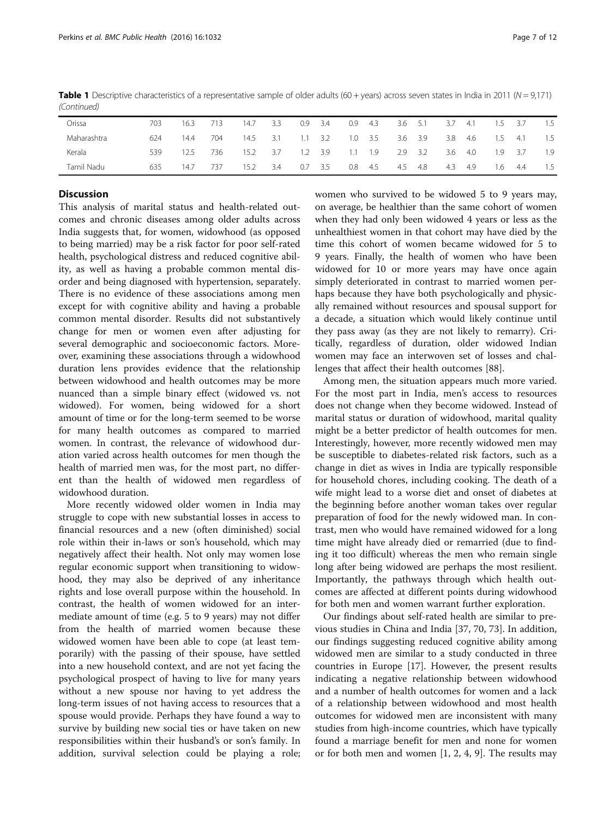| Orissa      | 703 | 16.3 | 713 | 14.7 | 3.3 | 0.9           | 3.4 | 0.9 | 4.3   | $3.6$ 5.1 |      | 3.7 | -4.1 | 1.5 | 3.7 | 1.5  |
|-------------|-----|------|-----|------|-----|---------------|-----|-----|-------|-----------|------|-----|------|-----|-----|------|
| Maharashtra | 624 | 14.4 | 704 | 14.5 | 3.1 | 1.1           | 3.2 | 1.0 | 3.5   | 3.6       | 3.9  | 3.8 | 4.6  | 1.5 | 4.1 | 1.5  |
| Kerala      | 539 | 12.5 | 736 | 15.2 | 3.7 | $1.2^{\circ}$ | 3.9 | 1.1 | - 1.9 | 2.9       | 3.2  | 3.6 | -4.0 | 1.9 | 3.7 | -1.9 |
| Tamil Nadu  | 635 | 14.7 | 737 | 15.2 | 3.4 | 0.7           | 3.5 | 0.8 | 4.5   | 4.5       | -4.8 | 4.3 | -4.9 | 1.6 | 4.4 | 1.5  |

**Table 1** Descriptive characteristics of a representative sample of older adults (60 + years) across seven states in India in 2011 ( $N = 9,171$ ) (Continued)

# **Discussion**

This analysis of marital status and health-related outcomes and chronic diseases among older adults across India suggests that, for women, widowhood (as opposed to being married) may be a risk factor for poor self-rated health, psychological distress and reduced cognitive ability, as well as having a probable common mental disorder and being diagnosed with hypertension, separately. There is no evidence of these associations among men except for with cognitive ability and having a probable common mental disorder. Results did not substantively change for men or women even after adjusting for several demographic and socioeconomic factors. Moreover, examining these associations through a widowhood duration lens provides evidence that the relationship between widowhood and health outcomes may be more nuanced than a simple binary effect (widowed vs. not widowed). For women, being widowed for a short amount of time or for the long-term seemed to be worse for many health outcomes as compared to married women. In contrast, the relevance of widowhood duration varied across health outcomes for men though the health of married men was, for the most part, no different than the health of widowed men regardless of widowhood duration.

More recently widowed older women in India may struggle to cope with new substantial losses in access to financial resources and a new (often diminished) social role within their in-laws or son's household, which may negatively affect their health. Not only may women lose regular economic support when transitioning to widowhood, they may also be deprived of any inheritance rights and lose overall purpose within the household. In contrast, the health of women widowed for an intermediate amount of time (e.g. 5 to 9 years) may not differ from the health of married women because these widowed women have been able to cope (at least temporarily) with the passing of their spouse, have settled into a new household context, and are not yet facing the psychological prospect of having to live for many years without a new spouse nor having to yet address the long-term issues of not having access to resources that a spouse would provide. Perhaps they have found a way to survive by building new social ties or have taken on new responsibilities within their husband's or son's family. In addition, survival selection could be playing a role; women who survived to be widowed 5 to 9 years may, on average, be healthier than the same cohort of women when they had only been widowed 4 years or less as the unhealthiest women in that cohort may have died by the time this cohort of women became widowed for 5 to 9 years. Finally, the health of women who have been widowed for 10 or more years may have once again simply deteriorated in contrast to married women perhaps because they have both psychologically and physically remained without resources and spousal support for a decade, a situation which would likely continue until they pass away (as they are not likely to remarry). Critically, regardless of duration, older widowed Indian women may face an interwoven set of losses and challenges that affect their health outcomes [[88\]](#page-11-0).

Among men, the situation appears much more varied. For the most part in India, men's access to resources does not change when they become widowed. Instead of marital status or duration of widowhood, marital quality might be a better predictor of health outcomes for men. Interestingly, however, more recently widowed men may be susceptible to diabetes-related risk factors, such as a change in diet as wives in India are typically responsible for household chores, including cooking. The death of a wife might lead to a worse diet and onset of diabetes at the beginning before another woman takes over regular preparation of food for the newly widowed man. In contrast, men who would have remained widowed for a long time might have already died or remarried (due to finding it too difficult) whereas the men who remain single long after being widowed are perhaps the most resilient. Importantly, the pathways through which health outcomes are affected at different points during widowhood for both men and women warrant further exploration.

Our findings about self-rated health are similar to previous studies in China and India [\[37](#page-11-0), [70, 73\]](#page-11-0). In addition, our findings suggesting reduced cognitive ability among widowed men are similar to a study conducted in three countries in Europe [[17\]](#page-10-0). However, the present results indicating a negative relationship between widowhood and a number of health outcomes for women and a lack of a relationship between widowhood and most health outcomes for widowed men are inconsistent with many studies from high-income countries, which have typically found a marriage benefit for men and none for women or for both men and women [[1, 2, 4, 9\]](#page-10-0). The results may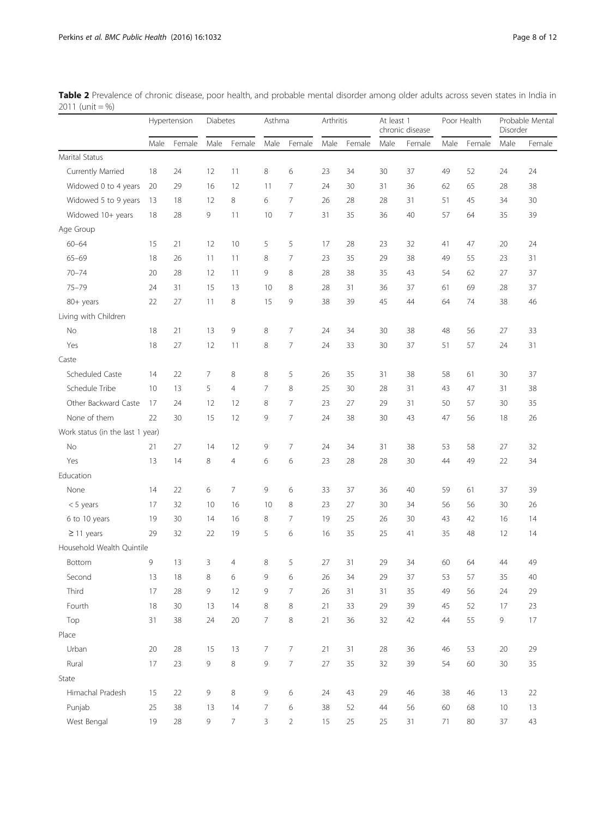<span id="page-7-0"></span>

| Table 2 Prevalence of chronic disease, poor health, and probable mental disorder among older adults across seven states in India in |  |  |  |
|-------------------------------------------------------------------------------------------------------------------------------------|--|--|--|
| 2011 (unit = %)                                                                                                                     |  |  |  |

|                                  |      | Hypertension | Diabetes |                | Asthma |                | Arthritis |        | At least 1<br>chronic disease |        | Poor Health |        | Probable Menta<br>Disorder |        |
|----------------------------------|------|--------------|----------|----------------|--------|----------------|-----------|--------|-------------------------------|--------|-------------|--------|----------------------------|--------|
|                                  | Male | Female       | Male     | Female         | Male   | Female         | Male      | Female | Male                          | Female | Male        | Female | Male                       | Female |
| Marital Status                   |      |              |          |                |        |                |           |        |                               |        |             |        |                            |        |
| Currently Married                | 18   | 24           | 12       | 11             | 8      | 6              | 23        | 34     | 30                            | 37     | 49          | 52     | 24                         | 24     |
| Widowed 0 to 4 years             | 20   | 29           | 16       | 12             | 11     | 7              | 24        | 30     | 31                            | 36     | 62          | 65     | 28                         | 38     |
| Widowed 5 to 9 years             | 13   | 18           | 12       | 8              | 6      | $\overline{7}$ | 26        | 28     | 28                            | 31     | 51          | 45     | 34                         | 30     |
| Widowed 10+ years                | 18   | 28           | 9        | 11             | 10     | $\overline{7}$ | 31        | 35     | 36                            | 40     | 57          | 64     | 35                         | 39     |
| Age Group                        |      |              |          |                |        |                |           |        |                               |        |             |        |                            |        |
| $60 - 64$                        | 15   | 21           | 12       | 10             | 5      | 5              | 17        | 28     | 23                            | 32     | 41          | 47     | 20                         | 24     |
| $65 - 69$                        | 18   | 26           | 11       | 11             | 8      | 7              | 23        | 35     | 29                            | 38     | 49          | 55     | 23                         | 31     |
| $70 - 74$                        | 20   | 28           | 12       | 11             | 9      | 8              | 28        | 38     | 35                            | 43     | 54          | 62     | 27                         | 37     |
| $75 - 79$                        | 24   | 31           | 15       | 13             | 10     | 8              | 28        | 31     | 36                            | 37     | 61          | 69     | 28                         | 37     |
| 80+ years                        | 22   | 27           | 11       | 8              | 15     | 9              | 38        | 39     | 45                            | 44     | 64          | 74     | 38                         | 46     |
| Living with Children             |      |              |          |                |        |                |           |        |                               |        |             |        |                            |        |
| No                               | 18   | 21           | 13       | 9              | 8      | 7              | 24        | 34     | 30                            | 38     | 48          | 56     | 27                         | 33     |
| Yes                              | 18   | 27           | 12       | 11             | 8      | $\overline{7}$ | 24        | 33     | 30                            | 37     | 51          | 57     | 24                         | 31     |
| Caste                            |      |              |          |                |        |                |           |        |                               |        |             |        |                            |        |
| Scheduled Caste                  | 14   | 22           | 7        | 8              | 8      | 5              | 26        | 35     | 31                            | 38     | 58          | 61     | 30                         | 37     |
| Schedule Tribe                   | 10   | 13           | 5        | $\overline{4}$ | 7      | 8              | 25        | 30     | 28                            | 31     | 43          | 47     | 31                         | 38     |
| Other Backward Caste             | 17   | 24           | 12       | 12             | 8      | 7              | 23        | 27     | 29                            | 31     | 50          | 57     | 30                         | 35     |
| None of them                     | 22   | 30           | 15       | 12             | 9      | $\overline{7}$ | 24        | 38     | 30                            | 43     | 47          | 56     | 18                         | 26     |
| Work status (in the last 1 year) |      |              |          |                |        |                |           |        |                               |        |             |        |                            |        |
| No                               | 21   | 27           | 14       | 12             | 9      | 7              | 24        | 34     | 31                            | 38     | 53          | 58     | 27                         | 32     |
| Yes                              | 13   | 14           | 8        | 4              | 6      | 6              | 23        | 28     | 28                            | 30     | 44          | 49     | 22                         | 34     |
| Education                        |      |              |          |                |        |                |           |        |                               |        |             |        |                            |        |
| None                             | 14   | 22           | 6        | 7              | 9      | 6              | 33        | 37     | 36                            | 40     | 59          | 61     | 37                         | 39     |
| $< 5$ years                      | 17   | 32           | 10       | 16             | 10     | 8              | 23        | 27     | 30                            | 34     | 56          | 56     | 30                         | 26     |
| 6 to 10 years                    | 19   | 30           | 14       | 16             | 8      | 7              | 19        | 25     | 26                            | 30     | 43          | 42     | 16                         | 14     |
| $\geq$ 11 years                  | 29   | 32           | 22       | 19             | 5      | 6              | 16        | 35     | 25                            | 41     | 35          | 48     | 12                         | 14     |
| Household Wealth Quintile        |      |              |          |                |        |                |           |        |                               |        |             |        |                            |        |
| Bottom                           | 9    | 13           | 3        | $\overline{4}$ | 8      | 5              | 27        | 31     | 29                            | 34     | 60          | 64     | 44                         | 49     |
| Second                           | 13   | 18           | 8        | 6              | 9      | 6              | 26        | 34     | 29                            | 37     | 53          | 57     | 35                         | $40\,$ |
| Third                            | 17   | 28           | 9        | 12             | 9      | 7              | 26        | 31     | 31                            | 35     | 49          | 56     | 24                         | 29     |
| Fourth                           | 18   | 30           | 13       | 14             | 8      | 8              | 21        | 33     | 29                            | 39     | 45          | 52     | 17                         | 23     |
| Top                              | 31   | 38           | 24       | 20             | 7      | 8              | 21        | 36     | 32                            | 42     | 44          | 55     | 9                          | 17     |
| Place                            |      |              |          |                |        |                |           |        |                               |        |             |        |                            |        |
| Urban                            | 20   | 28           | 15       | 13             | 7      | $\overline{7}$ | 21        | 31     | 28                            | 36     | 46          | 53     | 20                         | 29     |
| Rural                            | 17   | 23           | 9        | 8              | 9      | $\overline{7}$ | 27        | 35     | 32                            | 39     | 54          | 60     | 30                         | 35     |
| State                            |      |              |          |                |        |                |           |        |                               |        |             |        |                            |        |
| Himachal Pradesh                 | 15   | 22           | 9        | 8              | 9      | 6              | 24        | 43     | 29                            | 46     | 38          | 46     | 13                         | 22     |
| Punjab                           | 25   | 38           | 13       | 14             | 7      | 6              | 38        | 52     | 44                            | 56     | 60          | 68     | 10                         | 13     |
| West Bengal                      | 19   | 28           | 9        | 7              | 3      | $\overline{2}$ | 15        | 25     | 25                            | 31     | 71          | 80     | 37                         | 43     |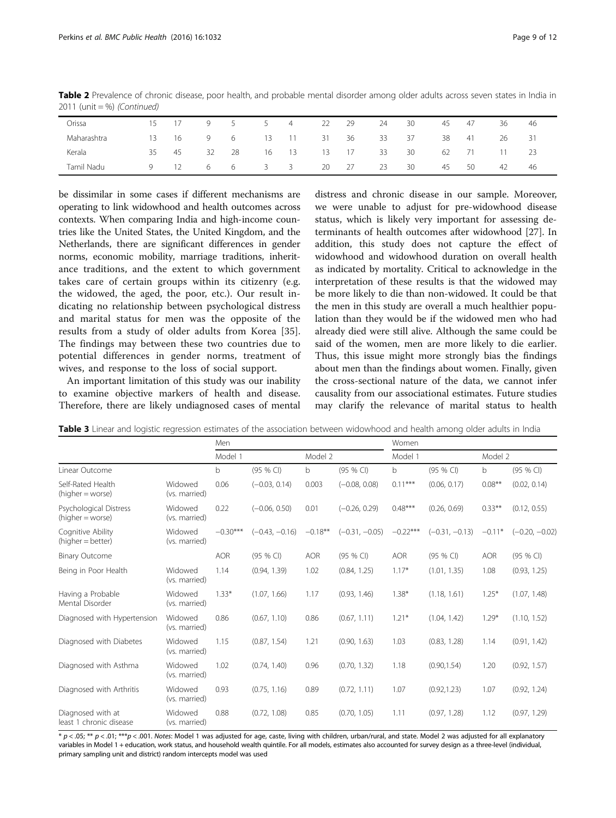<span id="page-8-0"></span>

| Table 2 Prevalence of chronic disease, poor health, and probable mental disorder among older adults across seven states in India in<br>$2011$ (unit = %) (Continued) |  |  |  |                        |  |        |       |      |      |
|----------------------------------------------------------------------------------------------------------------------------------------------------------------------|--|--|--|------------------------|--|--------|-------|------|------|
| Orissa                                                                                                                                                               |  |  |  | 15 17 9 5 5 4 22 29 24 |  | - 30 - | 45 47 | - 36 | - 46 |
|                                                                                                                                                                      |  |  |  |                        |  |        |       |      |      |

| Orissa      | 15 |    | Q  | 5.  | $\mathcal{P}$              | 4                       | 22   | 29   | 24 | 30 | 45 | 47 | 36 | 46  |
|-------------|----|----|----|-----|----------------------------|-------------------------|------|------|----|----|----|----|----|-----|
| Maharashtra | 13 | 16 | 9  | 6 — | 13                         | $\sim$ 11 $\sim$        | - 31 | - 36 | 33 | 37 | 38 | 41 | 26 | -31 |
| Kerala      | 35 | 45 | 32 | -28 | 16                         | 13                      | 13   | 17   | 33 | 30 | 62 |    |    | 23  |
| Tamil Nadu  | Q  |    | 6  | 6   | $\overline{\phantom{a}}$ 3 | $\overline{\mathbf{3}}$ | 20   | 27   | 23 | 30 | 45 | 50 | 42 | 46  |

be dissimilar in some cases if different mechanisms are operating to link widowhood and health outcomes across contexts. When comparing India and high-income countries like the United States, the United Kingdom, and the Netherlands, there are significant differences in gender norms, economic mobility, marriage traditions, inheritance traditions, and the extent to which government takes care of certain groups within its citizenry (e.g. the widowed, the aged, the poor, etc.). Our result indicating no relationship between psychological distress and marital status for men was the opposite of the results from a study of older adults from Korea [\[35](#page-11-0)]. The findings may between these two countries due to potential differences in gender norms, treatment of wives, and response to the loss of social support.

An important limitation of this study was our inability to examine objective markers of health and disease. Therefore, there are likely undiagnosed cases of mental distress and chronic disease in our sample. Moreover, we were unable to adjust for pre-widowhood disease status, which is likely very important for assessing determinants of health outcomes after widowhood [\[27](#page-10-0)]. In addition, this study does not capture the effect of widowhood and widowhood duration on overall health as indicated by mortality. Critical to acknowledge in the interpretation of these results is that the widowed may be more likely to die than non-widowed. It could be that the men in this study are overall a much healthier population than they would be if the widowed men who had already died were still alive. Although the same could be said of the women, men are more likely to die earlier. Thus, this issue might more strongly bias the findings about men than the findings about women. Finally, given the cross-sectional nature of the data, we cannot infer causality from our associational estimates. Future studies may clarify the relevance of marital status to health

Table 3 Linear and logistic regression estimates of the association between widowhood and health among older adults in India

|                                              |                          | Men        |                  |            |                  | Women      |                  |            |                  |  |  |
|----------------------------------------------|--------------------------|------------|------------------|------------|------------------|------------|------------------|------------|------------------|--|--|
|                                              |                          | Model 1    |                  | Model 2    |                  | Model 1    |                  | Model 2    |                  |  |  |
| Linear Outcome                               |                          | b          | $(95%$ CI)       | b          | (95 % CI)        | b          | (95 % CI)        | b          | (95 % CI)        |  |  |
| Self-Rated Health<br>$(higher = worse)$      | Widowed<br>(vs. married) | 0.06       | $(-0.03, 0.14)$  | 0.003      | $(-0.08, 0.08)$  | $0.11***$  | (0.06, 0.17)     | $0.08**$   | (0.02, 0.14)     |  |  |
| Psychological Distress<br>(higher = worse)   | Widowed<br>(vs. married) | 0.22       | $(-0.06, 0.50)$  | 0.01       | $(-0.26, 0.29)$  | $0.48***$  | (0.26, 0.69)     | $0.33***$  | (0.12, 0.55)     |  |  |
| Cognitive Ability<br>(higher = better)       | Widowed<br>(vs. married) | $-0.30***$ | $(-0.43, -0.16)$ | $-0.18**$  | $(-0.31, -0.05)$ | $-0.22***$ | $(-0.31, -0.13)$ | $-0.11*$   | $(-0.20, -0.02)$ |  |  |
| <b>Binary Outcome</b>                        |                          | <b>AOR</b> | $(95%$ CI)       | <b>AOR</b> | (95 % CI)        | <b>AOR</b> | (95 % CI)        | <b>AOR</b> | (95 % CI)        |  |  |
| Being in Poor Health                         | Widowed<br>(vs. married) | 1.14       | (0.94, 1.39)     | 1.02       | (0.84, 1.25)     | $1.17*$    | (1.01, 1.35)     | 1.08       | (0.93, 1.25)     |  |  |
| Having a Probable<br>Mental Disorder         | Widowed<br>(vs. married) | $1.33*$    | (1.07, 1.66)     | 1.17       | (0.93, 1.46)     | $1.38*$    | (1.18, 1.61)     | $1.25*$    | (1.07, 1.48)     |  |  |
| Diagnosed with Hypertension                  | Widowed<br>(vs. married) | 0.86       | (0.67, 1.10)     | 0.86       | (0.67, 1.11)     | $1.21*$    | (1.04, 1.42)     | $1.29*$    | (1.10, 1.52)     |  |  |
| Diagnosed with Diabetes                      | Widowed<br>(vs. married) | 1.15       | (0.87, 1.54)     | 1.21       | (0.90, 1.63)     | 1.03       | (0.83, 1.28)     | 1.14       | (0.91, 1.42)     |  |  |
| Diagnosed with Asthma                        | Widowed<br>(vs. married) | 1.02       | (0.74, 1.40)     | 0.96       | (0.70, 1.32)     | 1.18       | (0.90, 1.54)     | 1.20       | (0.92, 1.57)     |  |  |
| Diagnosed with Arthritis                     | Widowed<br>(vs. married) | 0.93       | (0.75, 1.16)     | 0.89       | (0.72, 1.11)     | 1.07       | (0.92, 1.23)     | 1.07       | (0.92, 1.24)     |  |  |
| Diagnosed with at<br>least 1 chronic disease | Widowed<br>(vs. married) | 0.88       | (0.72, 1.08)     | 0.85       | (0.70, 1.05)     | 1.11       | (0.97, 1.28)     | 1.12       | (0.97, 1.29)     |  |  |

 $p < 0.05$ ; \*\*  $p < 0.01$ ; \*\*\* $p < 0.001$ . Notes: Model 1 was adjusted for age, caste, living with children, urban/rural, and state. Model 2 was adjusted for all explanatory variables in Model 1 + education, work status, and household wealth quintile. For all models, estimates also accounted for survey design as a three-level (individual, primary sampling unit and district) random intercepts model was used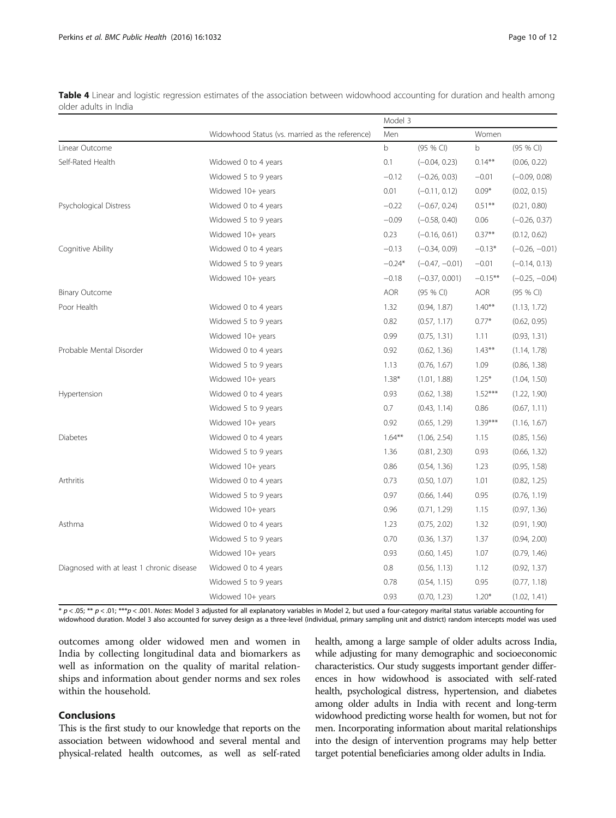<span id="page-9-0"></span>

| Table 4 Linear and logistic regression estimates of the association between widowhood accounting for duration and health among |  |  |
|--------------------------------------------------------------------------------------------------------------------------------|--|--|
| older adults in India                                                                                                          |  |  |

|                                           |                                                 | Model 3    |                  |            |                  |
|-------------------------------------------|-------------------------------------------------|------------|------------------|------------|------------------|
|                                           | Widowhood Status (vs. married as the reference) | Men        |                  | Women      |                  |
| Linear Outcome                            |                                                 | b          | (95 % CI)        | b          | (95 % CI)        |
| Self-Rated Health                         | Widowed 0 to 4 years                            | 0.1        | $(-0.04, 0.23)$  | $0.14***$  | (0.06, 0.22)     |
|                                           | Widowed 5 to 9 years                            | $-0.12$    | $(-0.26, 0.03)$  | $-0.01$    | $(-0.09, 0.08)$  |
|                                           | Widowed 10+ years                               | 0.01       | $(-0.11, 0.12)$  | $0.09*$    | (0.02, 0.15)     |
| Psychological Distress                    | Widowed 0 to 4 years                            | $-0.22$    | $(-0.67, 0.24)$  | $0.51***$  | (0.21, 0.80)     |
|                                           | Widowed 5 to 9 years                            | $-0.09$    | $(-0.58, 0.40)$  | 0.06       | $(-0.26, 0.37)$  |
|                                           | Widowed 10+ years                               | 0.23       | $(-0.16, 0.61)$  | $0.37**$   | (0.12, 0.62)     |
| Cognitive Ability                         | Widowed 0 to 4 years                            | $-0.13$    | $(-0.34, 0.09)$  | $-0.13*$   | $(-0.26, -0.01)$ |
|                                           | Widowed 5 to 9 years                            | $-0.24*$   | $(-0.47, -0.01)$ | $-0.01$    | $(-0.14, 0.13)$  |
|                                           | Widowed 10+ years                               | $-0.18$    | $(-0.37, 0.001)$ | $-0.15***$ | $(-0.25, -0.04)$ |
| <b>Binary Outcome</b>                     |                                                 | <b>AOR</b> | (95 % CI)        | <b>AOR</b> | (95 % CI)        |
| Poor Health                               | Widowed 0 to 4 years                            | 1.32       | (0.94, 1.87)     | $1.40**$   | (1.13, 1.72)     |
|                                           | Widowed 5 to 9 years                            | 0.82       | (0.57, 1.17)     | $0.77*$    | (0.62, 0.95)     |
|                                           | Widowed 10+ years                               | 0.99       | (0.75, 1.31)     | 1.11       | (0.93, 1.31)     |
| Probable Mental Disorder                  | Widowed 0 to 4 years                            | 0.92       | (0.62, 1.36)     | $1.43***$  | (1.14, 1.78)     |
|                                           | Widowed 5 to 9 years                            | 1.13       | (0.76, 1.67)     | 1.09       | (0.86, 1.38)     |
|                                           | Widowed 10+ years                               | $1.38*$    | (1.01, 1.88)     | $1.25*$    | (1.04, 1.50)     |
| Hypertension                              | Widowed 0 to 4 years                            | 0.93       | (0.62, 1.38)     | $1.52***$  | (1.22, 1.90)     |
|                                           | Widowed 5 to 9 years                            | 0.7        | (0.43, 1.14)     | 0.86       | (0.67, 1.11)     |
|                                           | Widowed 10+ years                               | 0.92       | (0.65, 1.29)     | $1.39***$  | (1.16, 1.67)     |
| <b>Diabetes</b>                           | Widowed 0 to 4 years                            | $1.64***$  | (1.06, 2.54)     | 1.15       | (0.85, 1.56)     |
|                                           | Widowed 5 to 9 years                            | 1.36       | (0.81, 2.30)     | 0.93       | (0.66, 1.32)     |
|                                           | Widowed 10+ years                               | 0.86       | (0.54, 1.36)     | 1.23       | (0.95, 1.58)     |
| Arthritis                                 | Widowed 0 to 4 years                            | 0.73       | (0.50, 1.07)     | 1.01       | (0.82, 1.25)     |
|                                           | Widowed 5 to 9 years                            | 0.97       | (0.66, 1.44)     | 0.95       | (0.76, 1.19)     |
|                                           | Widowed 10+ years                               | 0.96       | (0.71, 1.29)     | 1.15       | (0.97, 1.36)     |
| Asthma                                    | Widowed 0 to 4 years                            | 1.23       | (0.75, 2.02)     | 1.32       | (0.91, 1.90)     |
|                                           | Widowed 5 to 9 years                            | 0.70       | (0.36, 1.37)     | 1.37       | (0.94, 2.00)     |
|                                           | Widowed 10+ years                               | 0.93       | (0.60, 1.45)     | 1.07       | (0.79, 1.46)     |
| Diagnosed with at least 1 chronic disease | Widowed 0 to 4 years                            | 0.8        | (0.56, 1.13)     | 1.12       | (0.92, 1.37)     |
|                                           | Widowed 5 to 9 years                            | 0.78       | (0.54, 1.15)     | 0.95       | (0.77, 1.18)     |
|                                           | Widowed 10+ years                               | 0.93       | (0.70, 1.23)     | $1.20*$    | (1.02, 1.41)     |

\* p < .05; \*\* p < .01; \*\*\*p < .001. Notes: Model 3 adjusted for all explanatory variables in Model 2, but used a four-category marital status variable accounting for widowhood duration. Model 3 also accounted for survey design as a three-level (individual, primary sampling unit and district) random intercepts model was used

outcomes among older widowed men and women in India by collecting longitudinal data and biomarkers as well as information on the quality of marital relationships and information about gender norms and sex roles within the household.

# Conclusions

This is the first study to our knowledge that reports on the association between widowhood and several mental and physical-related health outcomes, as well as self-rated health, among a large sample of older adults across India, while adjusting for many demographic and socioeconomic characteristics. Our study suggests important gender differences in how widowhood is associated with self-rated health, psychological distress, hypertension, and diabetes among older adults in India with recent and long-term widowhood predicting worse health for women, but not for men. Incorporating information about marital relationships into the design of intervention programs may help better target potential beneficiaries among older adults in India.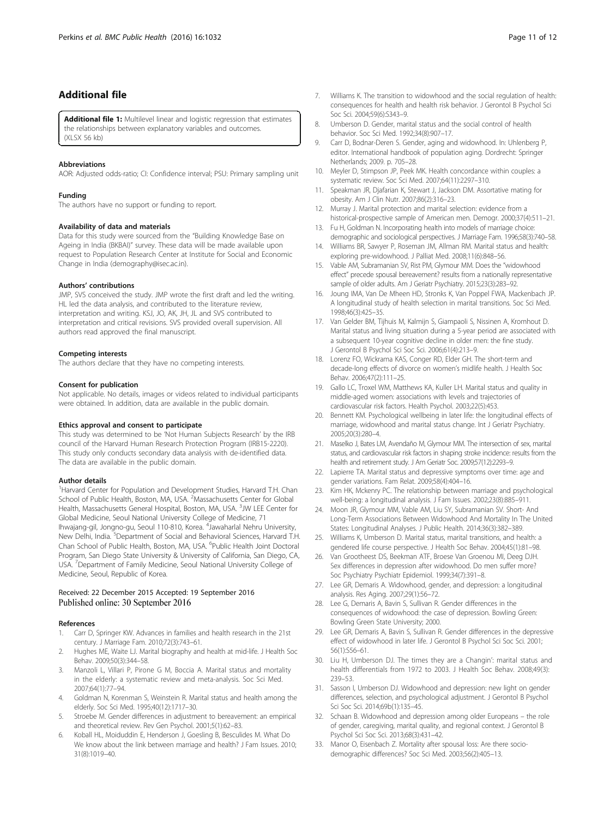# <span id="page-10-0"></span>Additional file

[Additional file 1:](dx.doi.org/10.1186/s12889-016-3682-9) Multilevel linear and logistic regression that estimates the relationships between explanatory variables and outcomes. (XLSX 56 kb)

#### Abbreviations

AOR: Adjusted odds-ratio; CI: Confidence interval; PSU: Primary sampling unit

#### Funding

The authors have no support or funding to report.

#### Availability of data and materials

Data for this study were sourced from the "Building Knowledge Base on Ageing in India (BKBAI)" survey. These data will be made available upon request to Population Research Center at Institute for Social and Economic Change in India (demography@isec.ac.in).

#### Authors' contributions

JMP, SVS conceived the study. JMP wrote the first draft and led the writing. HL led the data analysis, and contributed to the literature review, interpretation and writing. KSJ, JO, AK, JH, JL and SVS contributed to interpretation and critical revisions. SVS provided overall supervision. All authors read approved the final manuscript.

#### Competing interests

The authors declare that they have no competing interests.

#### Consent for publication

Not applicable. No details, images or videos related to individual participants were obtained. In addition, data are available in the public domain.

#### Ethics approval and consent to participate

This study was determined to be 'Not Human Subjects Research' by the IRB council of the Harvard Human Research Protection Program (IRB15-2220). This study only conducts secondary data analysis with de-identified data. The data are available in the public domain.

#### Author details

<sup>1</sup> Harvard Center for Population and Development Studies, Harvard T.H. Chan School of Public Health, Boston, MA, USA. <sup>2</sup>Massachusetts Center for Global Health, Massachusetts General Hospital, Boston, MA, USA. <sup>3</sup>JW LEE Center for Global Medicine, Seoul National University College of Medicine, 71 Ihwajang-gil, Jongno-gu, Seoul 110-810, Korea. <sup>4</sup>Jawaharlal Nehru University, New Delhi, India. <sup>5</sup>Department of Social and Behavioral Sciences, Harvard T.H. Chan School of Public Health, Boston, MA, USA. <sup>6</sup>Public Health Joint Doctoral Program, San Diego State University & University of California, San Diego, CA, USA. <sup>7</sup> Department of Family Medicine, Seoul National University College of Medicine, Seoul, Republic of Korea.

#### Received: 22 December 2015 Accepted: 19 September 2016 Published online: 30 September 2016

#### References

- 1. Carr D, Springer KW. Advances in families and health research in the 21st century. J Marriage Fam. 2010;72(3):743–61.
- Hughes ME, Waite LJ. Marital biography and health at mid-life. J Health Soc Behav. 2009;50(3):344–58.
- 3. Manzoli L, Villari P, Pirone G M, Boccia A. Marital status and mortality in the elderly: a systematic review and meta-analysis. Soc Sci Med. 2007;64(1):77–94.
- 4. Goldman N, Korenman S, Weinstein R. Marital status and health among the elderly. Soc Sci Med. 1995;40(12):1717–30.
- Stroebe M. Gender differences in adjustment to bereavement: an empirical and theoretical review. Rev Gen Psychol. 2001;5(1):62–83.
- 6. Koball HL, Moiduddin E, Henderson J, Goesling B, Besculides M. What Do We know about the link between marriage and health? J Fam Issues. 2010; 31(8):1019–40.
- 7. Williams K. The transition to widowhood and the social regulation of health: consequences for health and health risk behavior. J Gerontol B Psychol Sci Soc Sci. 2004;59(6):S343–9.
- 8. Umberson D. Gender, marital status and the social control of health behavior. Soc Sci Med. 1992;34(8):907–17.
- 9. Carr D, Bodnar-Deren S. Gender, aging and widowhood. In: Uhlenberg P, editor. International handbook of population aging. Dordrecht: Springer Netherlands; 2009. p. 705–28.
- 10. Meyler D, Stimpson JP, Peek MK. Health concordance within couples: a systematic review. Soc Sci Med. 2007;64(11):2297–310.
- 11. Speakman JR, Djafarian K, Stewart J, Jackson DM. Assortative mating for obesity. Am J Clin Nutr. 2007;86(2):316–23.
- 12. Murray J. Marital protection and marital selection: evidence from a historical-prospective sample of American men. Demogr. 2000;37(4):511–21.
- 13. Fu H, Goldman N. Incorporating health into models of marriage choice: demographic and sociological perspectives. J Marriage Fam. 1996;58(3):740–58.
- 14. Williams BR, Sawyer P, Roseman JM, Allman RM. Marital status and health: exploring pre-widowhood. J Palliat Med. 2008;11(6):848–56.
- 15. Vable AM, Subramanian SV, Rist PM, Glymour MM. Does the "widowhood effect" precede spousal bereavement? results from a nationally representative sample of older adults. Am J Geriatr Psychiatry. 2015;23(3):283–92.
- 16. Joung IMA, Van De Mheen HD, Stronks K, Van Poppel FWA, Mackenbach JP. A longitudinal study of health selection in marital transitions. Soc Sci Med. 1998;46(3):425–35.
- 17. Van Gelder BM, Tijhuis M, Kalmijn S, Giampaoli S, Nissinen A, Kromhout D. Marital status and living situation during a 5-year period are associated with a subsequent 10-year cognitive decline in older men: the fine study. J Gerontol B Psychol Sci Soc Sci. 2006;61(4):213–9.
- 18. Lorenz FO, Wickrama KAS, Conger RD, Elder GH. The short-term and decade-long effects of divorce on women's midlife health. J Health Soc Behav. 2006;47(2):111–25.
- 19. Gallo LC, Troxel WM, Matthews KA, Kuller LH. Marital status and quality in middle-aged women: associations with levels and trajectories of cardiovascular risk factors. Health Psychol. 2003;22(5):453.
- 20. Bennett KM. Psychological wellbeing in later life: the longitudinal effects of marriage, widowhood and marital status change. Int J Geriatr Psychiatry. 2005;20(3):280–4.
- 21. Maselko J, Bates LM, Avendaño M, Glymour MM. The intersection of sex, marital status, and cardiovascular risk factors in shaping stroke incidence: results from the health and retirement study. J Am Geriatr Soc. 2009;57(12):2293–9.
- 22. Lapierre TA. Marital status and depressive symptoms over time: age and gender variations. Fam Relat. 2009;58(4):404–16.
- 23. Kim HK, Mckenry PC. The relationship between marriage and psychological well-being: a longitudinal analysis. J Fam Issues. 2002;23(8):885–911.
- 24. Moon JR, Glymour MM, Vable AM, Liu SY, Subramanian SV. Short- And Long-Term Associations Between Widowhood And Mortality In The United States: Longitudinal Analyses. J Public Health. 2014;36(3):382–389.
- 25. Williams K, Umberson D. Marital status, marital transitions, and health: a gendered life course perspective. J Health Soc Behav. 2004;45(1):81–98.
- 26. Van Grootheest DS, Beekman ATF, Broese Van Groenou MI, Deeg DJH. Sex differences in depression after widowhood. Do men suffer more? Soc Psychiatry Psychiatr Epidemiol. 1999;34(7):391–8.
- 27. Lee GR, Demaris A. Widowhood, gender, and depression: a longitudinal analysis. Res Aging. 2007;29(1):56–72.
- 28. Lee G, Demaris A, Bavin S, Sullivan R. Gender differences in the consequences of widowhood: the case of depression. Bowling Green: Bowling Green State University; 2000.
- 29. Lee GR, Demaris A, Bavin S, Sullivan R. Gender differences in the depressive effect of widowhood in later life. J Gerontol B Psychol Sci Soc Sci. 2001; 56(1):S56–61.
- 30. Liu H, Umberson DJ. The times they are a Changin': marital status and health differentials from 1972 to 2003. J Health Soc Behav. 2008;49(3): 239–53.
- 31. Sasson I, Umberson DJ. Widowhood and depression: new light on gender differences, selection, and psychological adjustment. J Gerontol B Psychol Sci Soc Sci. 2014;69b(1):135–45.
- 32. Schaan B. Widowhood and depression among older Europeans the role of gender, caregiving, marital quality, and regional context. J Gerontol B Psychol Sci Soc Sci. 2013;68(3):431–42.
- 33. Manor O, Eisenbach Z. Mortality after spousal loss: Are there sociodemographic differences? Soc Sci Med. 2003;56(2):405–13.